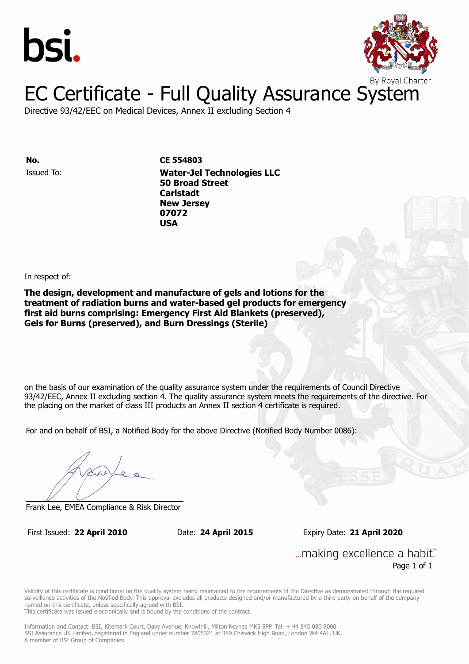



### EC Certificate - Full Quality Assurance System

Directive 93/42/EEC on Medical Devices, Annex II excluding Section 4

**No. CE 554803** Issued To: **Water-Jel Technologies LLC 50 Broad Street Carlstadt New Jersey 07072 USA**

In respect of:

**The design, development and manufacture of gels and lotions for the treatment of radiation burns and water-based gel products for emergency first aid burns comprising: Emergency First Aid Blankets (preserved), Gels for Burns (preserved), and Burn Dressings (Sterile)**

on the basis of our examination of the quality assurance system under the requirements of Council Directive 93/42/EEC, Annex II excluding section 4. The quality assurance system meets the requirements of the directive. For the placing on the market of class III products an Annex II section 4 certificate is required.

For and on behalf of BSI, a Notified Body for the above Directive (Notified Body Number 0086):

Frank Lee, EMEA Compliance & Risk Director

First Issued: **22 April 2010** Date: **24 April 2015** Expiry Date: **21 April 2020**

... making excellence a habit." Page 1 of 1

Validity of this certificate is conditional on the quality system being maintained to the requirements of the Directive as demonstrated through the required surveillance activities of the Notified Body. This approval excludes all products designed and/or manufactured by a third party on behalf of the company named on this certificate, unless specifically agreed with BSI.

This certificate was issued electronically and is bound by the conditions of the contract.

Information and Contact: BSI, Kitemark Court, Davy Avenue, Knowlhill, Milton Keynes MK5 8PP. Tel: + 44 845 080 9000 BSI Assurance UK Limited, registered in England under number 7805321 at 389 Chiswick High Road, London W4 4AL, UK. A member of BSI Group of Companies.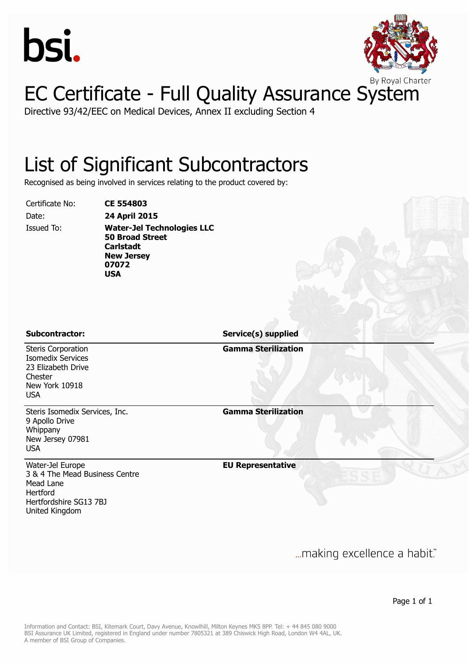



# EC Certificate - Full Quality Assurance System

Directive 93/42/EEC on Medical Devices, Annex II excluding Section 4

### List of Significant Subcontractors

Recognised as being involved in services relating to the product covered by:

Certificate No: **CE 554803**

Date: **24 April 2015** Issued To: **Water-Jel Technologies LLC 50 Broad Street Carlstadt New Jersey 07072 USA**

Steris Corporation Isomedix Services 23 Elizabeth Drive Chester New York 10918 USA

Steris Isomedix Services, Inc. 9 Apollo Drive Whippany New Jersey 07981 USA

Water-Jel Europe 3 & 4 The Mead Business Centre Mead Lane **Hertford** Hertfordshire SG13 7BJ United Kingdom

**Subcontractor: Service(s) supplied**

**Gamma Sterilization**

**Gamma Sterilization**

**EU Representative**

... making excellence a habit."

Page 1 of 1